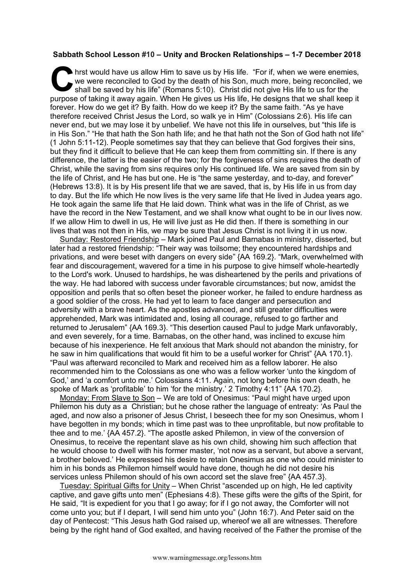## **Sabbath School Lesson #10 – Unity and Brocken Relationships – 1-7 December 2018**

hrst would have us allow Him to save us by His life. "For if, when we were enemies, we were reconciled to God by the death of his Son, much more, being reconciled, we shall be saved by his life" (Romans 5:10). Christ did not give His life to us for the **Purpose of taking it away again. When He gives us his life.** "For if, when we were enemies, we were reconciled to God by the death of his Son, much more, being reconciled, we shall be saved by his life" (Romans 5:10). Chr forever. How do we get it? By faith. How do we keep it? By the same faith. "As ye have therefore received Christ Jesus the Lord, so walk ye in Him" (Colossians 2:6). His life can never end, but we may lose it by unbelief. We have not this life in ourselves, but "this life is in His Son." "He that hath the Son hath life; and he that hath not the Son of God hath not life" (1 John 5:11-12). People sometimes say that they can believe that God forgives their sins, but they find it difficult to believe that He can keep them from committing sin. If there is any difference, the latter is the easier of the two; for the forgiveness of sins requires the death of Christ, while the saving from sins requires only His continued life. We are saved from sin by the life of Christ, and He has but one. He is "the same yesterday, and to-day, and forever" (Hebrews 13:8). It is by His present life that we are saved, that is, by His life in us from day to day. But the life which He now lives is the very same life that He lived in Judea years ago. He took again the same life that He laid down. Think what was in the life of Christ, as we have the record in the New Testament, and we shall know what ought to be in our lives now. If we allow Him to dwell in us, He will live just as He did then. If there is something in our lives that was not then in His, we may be sure that Jesus Christ is not living it in us now.

Sunday: Restored Friendship – Mark joined Paul and Barnabas in ministry, disserted, but later had a restored friendship: "Their way was toilsome; they encountered hardships and privations, and were beset with dangers on every side" {AA 169.2}. "Mark, overwhelmed with fear and discouragement, wavered for a time in his purpose to give himself whole-heartedly to the Lord's work. Unused to hardships, he was disheartened by the perils and privations of the way. He had labored with success under favorable circumstances; but now, amidst the opposition and perils that so often beset the pioneer worker, he failed to endure hardness as a good soldier of the cross. He had yet to learn to face danger and persecution and adversity with a brave heart. As the apostles advanced, and still greater difficulties were apprehended, Mark was intimidated and, losing all courage, refused to go farther and returned to Jerusalem" {AA 169.3}. "This desertion caused Paul to judge Mark unfavorably, and even severely, for a time. Barnabas, on the other hand, was inclined to excuse him because of his inexperience. He felt anxious that Mark should not abandon the ministry, for he saw in him qualifications that would fit him to be a useful worker for Christ" {AA 170.1}. "Paul was afterward reconciled to Mark and received him as a fellow laborer. He also recommended him to the Colossians as one who was a fellow worker 'unto the kingdom of God,' and 'a comfort unto me.' Colossians 4:11. Again, not long before his own death, he spoke of Mark as 'profitable' to him 'for the ministry.' 2 Timothy 4:11" {AA 170.2}.

Monday: From Slave to Son – We are told of Onesimus: "Paul might have urged upon Philemon his duty as a Christian; but he chose rather the language of entreaty: 'As Paul the aged, and now also a prisoner of Jesus Christ, I beseech thee for my son Onesimus, whom I have begotten in my bonds; which in time past was to thee unprofitable, but now profitable to thee and to me.' {AA 457.2}. "The apostle asked Philemon, in view of the conversion of Onesimus, to receive the repentant slave as his own child, showing him such affection that he would choose to dwell with his former master, 'not now as a servant, but above a servant, a brother beloved.' He expressed his desire to retain Onesimus as one who could minister to him in his bonds as Philemon himself would have done, though he did not desire his services unless Philemon should of his own accord set the slave free" {AA 457.3}.

Tuesday: Spiritual Gifts for Unity – When Christ "ascended up on high, He led captivity captive, and gave gifts unto men" (Ephesians 4:8). These gifts were the gifts of the Spirit, for He said, "It is expedient for you that I go away; for if I go not away, the Comforter will not come unto you; but if I depart, I will send him unto you" (John 16:7). And Peter said on the day of Pentecost: "This Jesus hath God raised up, whereof we all are witnesses. Therefore being by the right hand of God exalted, and having received of the Father the promise of the